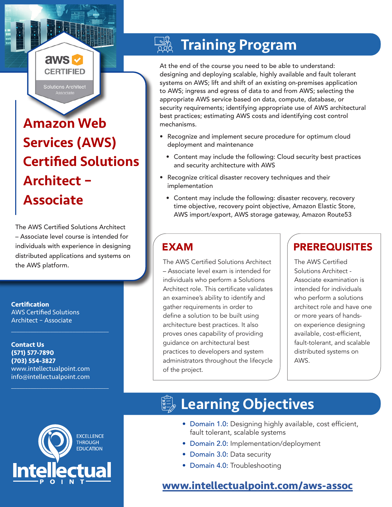# Amazon Web Services (AWS) Certified Solutions Architect – Associate

aws **v CERTIFIED** 

**Solutions Architect** 

The AWS Certified Solutions Architect – Associate level course is intended for individuals with experience in designing distributed applications and systems on the AWS platform.

**Certification** AWS Certified Solutions Architect – Associate

**Contact Us (571) 577-7890 (703) 554-3827** www.intellectualpoint.com info@intellectualpoint.com

 $\mathcal{L}_\text{max}$  and  $\mathcal{L}_\text{max}$  and  $\mathcal{L}_\text{max}$  and  $\mathcal{L}_\text{max}$ 

 $\mathcal{L}_\text{max}$  , and the set of the set of the set of the set of the set of the set of the set of the set of the set of the set of the set of the set of the set of the set of the set of the set of the set of the set of the

# Training Program

At the end of the course you need to be able to understand: designing and deploying scalable, highly available and fault tolerant systems on AWS; lift and shift of an existing on-premises application to AWS; ingress and egress of data to and from AWS; selecting the appropriate AWS service based on data, compute, database, or security requirements; identifying appropriate use of AWS architectural best practices; estimating AWS costs and identifying cost control mechanisms.

- Recognize and implement secure procedure for optimum cloud deployment and maintenance
	- Content may include the following: Cloud security best practices and security architecture with AWS
- Recognize critical disaster recovery techniques and their implementation
- Content may include the following: disaster recovery, recovery time objective, recovery point objective, Amazon Elastic Store, AWS import/export, AWS storage gateway, Amazon Route53

The AWS Certified Solutions Architect – Associate level exam is intended for individuals who perform a Solutions Architect role. This certificate validates an examinee's ability to identify and gather requirements in order to define a solution to be built using architecture best practices. It also proves ones capability of providing guidance on architectural best practices to developers and system administrators throughout the lifecycle of the project.

### EXAM PREREQUISITES

The AWS Certified Solutions Architect - Associate examination is intended for individuals who perform a solutions architect role and have one or more years of handson experience designing available, cost-efficient, fault-tolerant, and scalable distributed systems on AWS.



# **Learning Objectives**

- Domain 1.0: Designing highly available, cost efficient, fault tolerant, scalable systems
- Domain 2.0: Implementation/deployment
- Domain 3.0: Data security
- Domain 4.0: Troubleshooting

## **[www.intellectualpoint.com/aws-assoc](https://www.intellectualpoint.com/aws-assoc)**